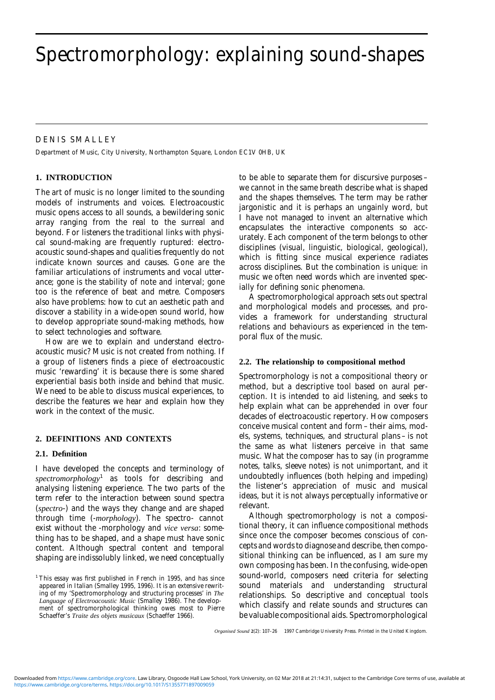# Spectromorphology: explaining sound-shapes

# DENIS SMALLEY

Department of Music, City University, Northampton Square, London EC1V 0HB, UK

The art of music is no longer limited to the sounding<br>
models of instruments and voices. Electroacoustice and the shapes them<br>selected interactions are beath describe what is shaped<br>
music opens access to all sounds, a be

acoustic music? Music is not created from nothing. If a group of listeners finds a piece of electroacoustic **2.2. The relationship to compositional method** music 'rewarding' it is because there is some shared<br>experiential basis both inside and behind that music.<br>We need to be able to discuss musical experiences, to<br>describe the features we hear and explain how they<br>work in th

I have developed the concepts and terminology of notes, talks, sleeve notes) is not unimportant, and it spectromorphology<sup>1</sup> as tools for describing and undoubtedly influences (both helping and impeding) analysing listenin

**1. INTRODUCTION** to be able to separate them for discursive purposes –

conceive musical content and form – their aims, models, systems, techniques, and structural plans – is not **2. DEFINITIONS AND CONTEXTS 2.1. Definition 2.1. Definition** music. What the composer has to say (in programme

thing has to be shaped, and a shape must have sonic since once the composer becomes conscious of concontent.<br>
content. Although spectral content and temporal cepts and words to diagnose and describe, then composhaping are <sup>1</sup> This essay was first published in French in 1995, and has since sound-world, composers need criteria for selecting appeared in Italian (Smalley 1995, 1996). It is an extensive rewrit-sound materials and understanding s sound materials and understanding structural ing of my 'Spectromorphology and structuring processes' in *The* relationships. So descriptive and conceptual tools *Language of Electroacoustic Music* (Smalley 1986). The develop-<br>mont of conceptomorphological thinking ou Schaeffer's *Traite´ des objets musicaux* (Schaeffer 1966). be valuable compositional aids. Spectromorphological

*Organised Sound* **2**(2): 107–26 1997 Cambridge University Press. Printed in the United Kingdom.

ment of spectromorphological thinking owes most to Pierre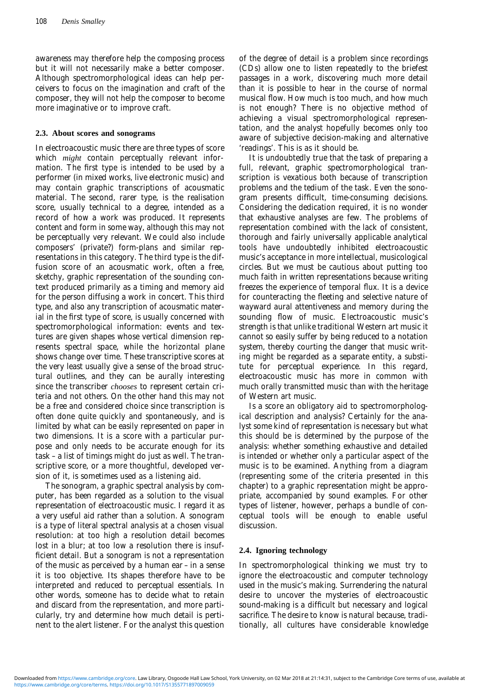awareness may therefore help the composing process of the degree of detail is a problem since recordings but it will not necessarily make a better composer. (CDs) allow one to listen repeatedly to the briefest Although spectromorphological ideas can help per- passages in a work, discovering much more detail ceivers to focus on the imagination and craft of the than it is possible to hear in the course of normal composer, they will not help the composer to become musical flow. How much is too much, and how much more imaginative or to improve craft. is not enough? There is no objective method of

In electroacoustic music there are three types of score 'readings'. This is as it should be. which *might* contain perceptually relevant infor-<br>It is undoubtedly true that the task of preparing a mation. The first type is intended to be used by a full, relevant, graphic spectromorphological tranperformer (in mixed works, live electronic music) and scription is vexatious both because of transcription may contain graphic transcriptions of acousmatic problems and the tedium of the task. Even the sonomaterial. The second, rarer type, is the realisation gram presents difficult, time-consuming decisions. score, usually technical to a degree, intended as a Considering the dedication required, it is no wonder record of how a work was produced. It represents that exhaustive analyses are few. The problems of content and form in some way, although this may not representation combined with the lack of consistent, be perceptually very relevant. We could also include thorough and fairly universally applicable analytical composers' (private?) form-plans and similar rep- tools have undoubtedly inhibited electroacoustic resentations in this category. The third type is the dif- music's acceptance in more intellectual, musicological fusion score of an acousmatic work, often a free, circles. But we must be cautious about putting too sketchy, graphic representation of the sounding con- much faith in written representations because writing text produced primarily as a timing and memory aid freezes the experience of temporal flux. It is a device for the person diffusing a work in concert. This third for counteracting the fleeting and selective nature of type, and also any transcription of acousmatic mater- wayward aural attentiveness and memory during the ial in the first type of score, is usually concerned with sounding flow of music. Electroacoustic music's spectromorphological information: events and tex- strength is that unlike traditional Western art music it tures are given shapes whose vertical dimension rep- cannot so easily suffer by being reduced to a notation resents spectral space, while the horizontal plane system, thereby courting the danger that music writshows change over time. These transcriptive scores at ing might be regarded as a separate entity, a substithe very least usually give a sense of the broad struc- tute for perceptual experience. In this regard, tural outlines, and they can be aurally interesting electroacoustic music has more in common with since the transcriber *chooses* to represent certain cri- much orally transmitted music than with the heritage teria and not others. On the other hand this may not of Western art music. be a free and considered choice since transcription is Is a score an obligatory aid to spectromorphologoften done quite quickly and spontaneously, and is ical description and analysis? Certainly for the analimited by what can be easily represented on paper in lyst some kind of representation is necessary but what two dimensions. It is a score with a particular pur- this should be is determined by the purpose of the pose and only needs to be accurate enough for its analysis: whether something exhaustive and detailed task – a list of timings might do just as well. The tran- is intended or whether only a particular aspect of the scriptive score, or a more thoughtful, developed ver- music is to be examined. Anything from a diagram sion of it, is sometimes used as a listening aid. (representing some of the criteria presented in this

puter, has been regarded as a solution to the visual priate, accompanied by sound examples. For other representation of electroacoustic music. I regard it as types of listener, however, perhaps a bundle of cona very useful aid rather than a solution. A sonogram ceptual tools will be enough to enable useful is a type of literal spectral analysis at a chosen visual discussion. resolution: at too high a resolution detail becomes lost in a blur; at too low a resolution there is insuf- **2.4. Ignoring technology** ficient detail. But a sonogram is not a representation of the music as perceived by a human ear – in a sense In spectromorphological thinking we must try to it is too objective. Its shapes therefore have to be ignore the electroacoustic and computer technology interpreted and reduced to perceptual essentials. In used in the music's making. Surrendering the natural other words, someone has to decide what to retain desire to uncover the mysteries of electroacoustic and discard from the representation, and more parti- sound-making is a difficult but necessary and logical cularly, try and determine how much detail is perti- sacrifice. The desire to know is natural because, tradinent to the alert listener. For the analyst this question tionally, all cultures have considerable knowledge

achieving a visual spectromorphological represen-2.3. About scores and sonograms **2.3.** About scores and sonograms **a** aware of subjective decision-making and alternative

The sonogram, a graphic spectral analysis by com- chapter) to a graphic representation might be appro-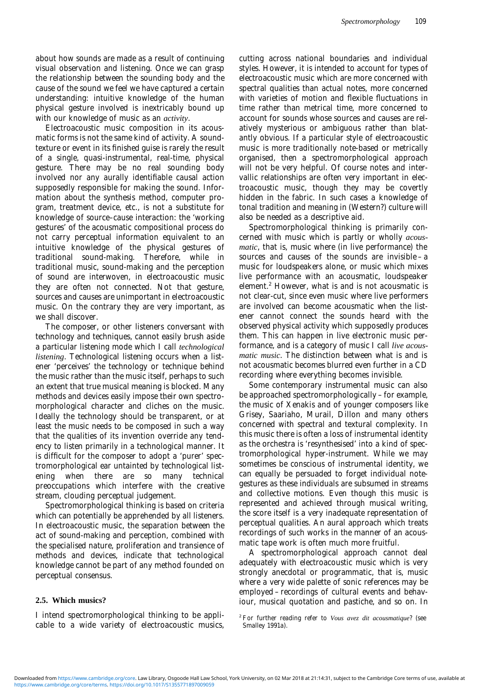about how sounds are made as a result of continuing cutting across national boundaries and individual visual observation and listening. Once we can grasp styles. However, it is intended to account for types of the relationship between the sounding body and the electroacoustic music which are more concerned with cause of the sound we feel we have captured a certain spectral qualities than actual notes, more concerned understanding: intuitive knowledge of the human with varieties of motion and flexible fluctuations in physical gesture involved is inextricably bound up time rather than metrical time, more concerned to with our knowledge of music as an *activity*. account for sounds whose sources and causes are rel-

matic forms is not the same kind of activity. A sound- antly obvious. If a particular style of electroacoustic texture or event in its finished guise is rarely the result music is more traditionally note-based or metrically of a single, quasi-instrumental, real-time, physical organised, then a spectromorphological approach gesture. There may be no real sounding body will not be very helpful. Of course notes and interinvolved nor any aurally identifiable causal action vallic relationships are often very important in elecsupposedly responsible for making the sound. Infor-<br>troacoustic music, though they may be covertly mation about the synthesis method, computer pro- hidden in the fabric. In such cases a knowledge of gram, treatment device, etc., is not a substitute for tonal tradition and meaning in (Western?) culture will knowledge of source–cause interaction: the 'working also be needed as a descriptive aid. gestures' of the acousmatic compositional process do Spectromorphological thinking is primarily connot carry perceptual information equivalent to an cerned with music which is partly or wholly *acous*-intuitive knowledge of the physical gestures of *matic*, that is, music where (in live performance) the intuitive knowledge of the physical gestures of traditional sound-making. Therefore, while in sources and causes of the sounds are invisible – a traditional music, sound-making and the perception of sound are interwoven, in electroacoustic music live performance with an acousmatic, loudspeaker they are often not connected. Not that gesture, element.<sup>2</sup> However, what is and is not acousmatic is sources and causes are unimportant in electroacoustic in the clear-cut, since even music where live performers<br>music. On the contrary they are very important, as are involved can become acousmatic when the listmusic. On the contrary they are very important, as we shall discover. The cannot connect the sounds heard with the

technology and techniques, cannot easily brush aside them. This can happen in live electronic music per-<br>a particular listening mode which I call *technological* formance, and is a category of music I call *live acous*a particular listening mode which I call *technological* formance, and is a category of music I call *live acouslistening*. Technological listening occurs when a list- *matic music*. The distinction between what is and is ener 'perceives' the technology or technique behind and acousmatic becomes blurred even further in a context o<br>the music rather than the music itself, perhans to such a crecording where everything becomes invisible. the music rather than the music itself, perhaps to such the music verything becomes invisible.<br>The musical meaning is blocked. Many the music restrumental music can also an extent that true musical meaning is blocked. Many Some contemporary instrumental music can also methods and devices easily impose their own spectro-<br>morphological character and cliches on the music be music of Xenakis and of younger composers like morphological character and cliches on the music. the music of Xenakis and of younger composers like Ideally the technology should be transparent, or at Grisey, Saariaho, Murail, Dillon and many others Ieast the music needs to be composed in such a way concerned with spectral and textural complexity. In least the music needs to be composed in such a way concerned with spectral and textural complexity. In that the qualities of its invention override any tend-<br>this music there is often a loss of instrumental identity that the qualities of its invention override any tend-<br>ency to listen primarily in a technological manner. It as the orchestra is 'resynthesised' into a kind of spec-

which can potentially be apprehended by all listeners. the score itself is a very inadequate representation of<br>In electroacoustic music, the separation between the perceptual qualities. An aural approach which treats In electroacoustic music, the separation between the and perceptual qualities. An aural approach which treats<br>act of sound-making and perception, combined with recordings of such works in the manner of an acous-<br>the specia methods and devices, indicate that technological approach cannot deal<br>knowledge cannot be part of any method founded on adequately with electroacoustic music which is very

I intend spectromorphological thinking to be appli-<br>
2 For further reading refer to *Vous avez dit acousmatique*? (see<br>
cable to a wide variety of electroacoustic musics, Smalley 1991a). cable to a wide variety of electroacoustic musics,

Electroacoustic music composition in its acous- atively mysterious or ambiguous rather than blat-

The composer, or other listeners conversant with observed physical activity which supposedly produces<br>hnology and techniques, cannot easily brush aside them. This can happen in live electronic music per-

ency to listen primarily in a technological manner. It<br>is difficult for the composer to adopt a 'purer' spec-<br>tromorphological hyper-instrument. While we may<br>tromorphological ear untainted by technological list-<br>ening when

knowledge cannot be part of any method founded on adequately with electroacoustic music which is very<br>strongly anecdotal or programmatic, that is, music<br>where a very wide palette of sonic references may be employed – recordings of cultural events and behav-**2.5. Which musics?** iour, musical quotation and pastiche, and so on. In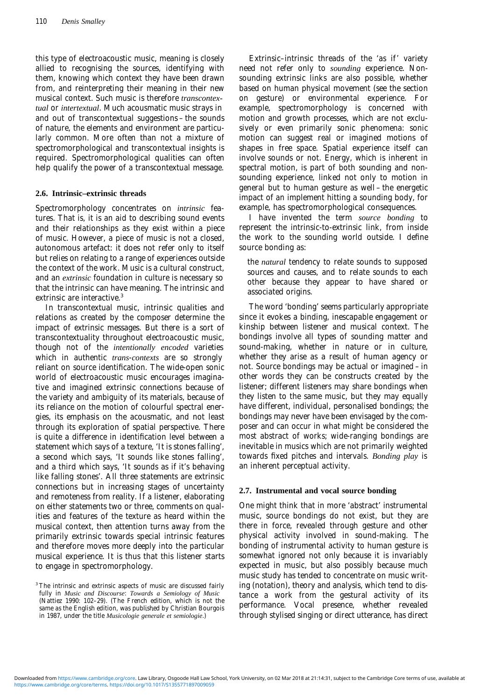this type of electroacoustic music, meaning is closely Extrinsic–intrinsic threads of the 'as if' variety allied to recognising the sources, identifying with need not refer only to *sounding* experience. Nonthem, knowing which context they have been drawn sounding extrinsic links are also possible, whether from, and reinterpreting their meaning in their new based on human physical movement (see the section musical context. Such music is therefore *transcontex-* on gesture) or environmental experience. For *tual* or *intertextual*. Much acousmatic music strays in example, spectromorphology is concerned with and out of transcontextual suggestions – the sounds motion and growth processes, which are not excluof nature, the elements and environment are particu- sively or even primarily sonic phenomena: sonic larly common. More often than not a mixture of motion can suggest real or imagined motions of spectromorphological and transcontextual insights is shapes in free space. Spatial experience itself can required. Spectromorphological qualities can often involve sounds or not. Energy, which is inherent in help qualify the power of a transcontextual message. spectral motion, is part of both sounding and non-

Spectromorphology concentrates on *intrinsic* fea- example, has spectromorphological consequences. tures. That is, it is an aid to describing sound events I have invented the term *source bonding* to and their relationships as they exist within a piece represent the intrinsic-to-extrinsic link, from inside of music. However, a piece of music is not a closed, the work to the sounding world outside. I define of music. However, a piece of music is not a closed, autonomous artefact: it does not refer only to itself source bonding as: but relies on relating to a range of experiences outside<br>the context of the work. Music is a cultural construct,<br>and an *extrinsic* foundation in culture is necessary so<br>that the intrinsic can have meaning. The intrinsic a

relations as created by the composer determine the impact of extrinsic messages. But there is a sort of kinship between listener and musical context. The transcontextuality throughout electroacoustic music, bondings involve all types of sounding matter and though not of the *intentionally encoded* varieties sound-making, whether in nature or in culture, though not of the *intentionally encoded* varieties which in authentic *trans-contexts* are so strongly whether they arise as a result of human agency or reliant on source identification. The wide-open sonic not. Source bondings may be actual or imagined – in reliant on source identification. The wide-open sonic world of electroacoustic music encourages imagina- other words they can be constructs created by the tive and imagined extrinsic connections because of listener; different listeners may share bondings when the variety and ambiguity of its materials, because of they listen to the same music, but they may equally its reliance on the motion of colourful spectral ener-<br>have different, individual, personalised bondings; the its reliance on the motion of colourful spectral ener- have different, individual, personalised bondings; the gies, its emphasis on the acousmatic, and not least through its exploration of spatial perspective. There poser and can occur in what might be considered the is quite a difference in identification level between a most abstract of works; wide-ranging bondings are statement which says of a texture, 'It is stones falling', inevitable in musics which are not primarily weighted a second which says, 'It sounds like stones falling', towards fixed pitches and intervals. *Bonding play* is and a third which says, 'It sounds as if it's behaving like falling stones'. All three statements are extrinsic connections but in increasing stages of uncertainty **2.7. Instrumental and vocal source bonding** and remoteness from reality. If a listener, elaborating on either statements two or three, comments on qual- One might think that in more 'abstract' instrumental ities and features of the texture as heard within the music, source bondings do not exist, but they are musical context, then attention turns away from the there in force, revealed through gesture and other primarily extrinsic towards special intrinsic features physical activity involved in sound-making. The and therefore moves more deeply into the particular bonding of instrumental activity to human gesture is musical experience. It is thus that this listener starts somewhat ignored not only because it is invariably

sounding experience, linked not only to motion in general but to human gesture as well – the energetic **2.6. Intrinsic–extrinsic threads** impact of an implement hitting a sounding body, for

In transcontextual music, intrinsic qualities and The word 'bonding' seems particularly appropriate

to engage in spectromorphology. expected in music, but also possibly because much music study has tended to concentrate on music writ-<sup>3</sup>The intrinsic and extrinsic aspects of music are discussed fairly ing (notation), theory and analysis, which tend to dis-<br>
fully in *Music and Discourse: Towards a Semiology of Music* tance a work from the gestural acti fully in *Music and Discourse: Towards a Semiology of Music* tance a work from the gestural activity of its (Nattiez 1990: 102-29). (The French edition, which is not the same as the English edition, was published by Christ through stylised singing or direct utterance, has direct

in 1987, under the title *Musicologie generale et se*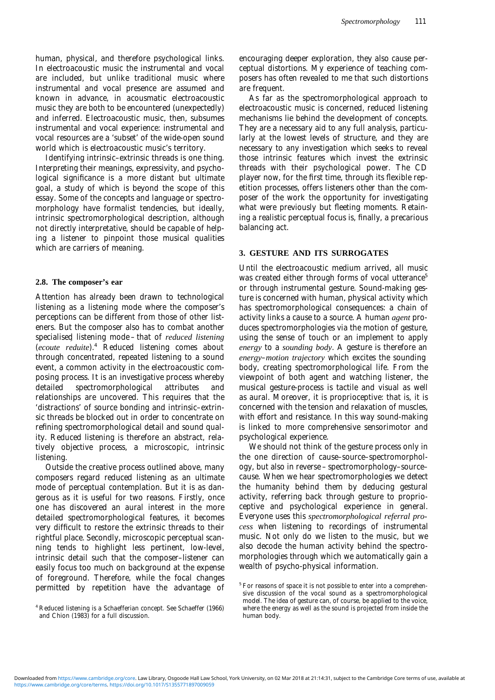human, physical, and therefore psychological links. encouraging deeper exploration, they also cause per-In electroacoustic music the instrumental and vocal ceptual distortions. My experience of teaching comare included, but unlike traditional music where posers has often revealed to me that such distortions instrumental and vocal presence are assumed and are frequent. known in advance, in acousmatic electroacoustic As far as the spectromorphological approach to music they are both to be encountered (unexpectedly) electroacoustic music is concerned, reduced listening and inferred. Electroacoustic music, then, subsumes mechanisms lie behind the development of concepts. instrumental and vocal experience: instrumental and They are a necessary aid to any full analysis, particuvocal resources are a 'subset' of the wide-open sound larly at the lowest levels of structure, and they are world which is electroacoustic music's territory. The electronic must be any investigation which seeks to reveal

Interpreting their meanings, expressivity, and psycho- threads with their psychological power. The CD logical significance is a more distant but ultimate player now, for the first time, through its flexible repgoal, a study of which is beyond the scope of this etition processes, offers listeners other than the comessay. Some of the concepts and language or spectro- poser of the work the opportunity for investigating morphology have formalist tendencies, but ideally, what were previously but fleeting moments. Retainintrinsic spectromorphological description, although ing a realistic perceptual focus is, finally, a precarious not directly interpretative, should be capable of help- balancing act. ing a listener to pinpoint those musical qualities which are carriers of meaning.<br>**3. GESTURE AND ITS SURROGATES** 

listening as a listening mode where the composer's has spectromorphological consequences: a chain of perceptions can be different from those of other list- activity links a cause to a source. A human *agent* proeners. But the composer also has to combat another duces spectromorphologies via the motion of gesture, specialised listening mode – that of *reduced listening* using the sense of touch or an implement to apply (*e ´ coute re´* through concentrated, repeated listening to a sound *energy*–*motion trajectory* which excites the sounding event, a common activity in the electroacoustic com- body, creating spectromorphological life. From the posing process. It is an investigative process whereby viewpoint of both agent and watching listener, the detailed spectromorphological attributes and musical gesture-process is tactile and visual as well relationships are uncovered. This requires that the as aural. Moreover, it is proprioceptive: that is, it is 'distractions' of source bonding and intrinsic–extrin- concerned with the tension and relaxation of muscles, sic threads be blocked out in order to concentrate on with effort and resistance. In this way sound-making refining spectromorphological detail and sound qual- is linked to more comprehensive sensorimotor and ity. Reduced listening is therefore an abstract, rela- psychological experience. tively objective process, a microscopic, intrinsic We should not think of the gesture process only in listening. the one direction of cause–source–spectromorphol-

composers regard reduced listening as an ultimate cause. When we hear spectromorphologies we detect mode of perceptual contemplation. But it is as dan- the humanity behind them by deducing gestural gerous as it is useful for two reasons. Firstly, once activity, referring back through gesture to proprioone has discovered an aural interest in the more ceptive and psychological experience in general.<br>detailed spectromorphological features, it becomes Everyone uses this spectromorphological referral prodetailed spectromorphological features, it becomes Leveryone uses this *spectromorphological referral pro-*<br>
very difficult to restore the extrinsic threads to their cess when listening to recordings of instrumental very difficult to restore the extrinsic threads to their *cess* when listening to recordings of instrumental rightful place. Secondly, microscopic perceptual scan-<br>ning tends to highlight less pertinent low-level also decode the human activity behind the spectroning tends to highlight less pertinent, low-level, also decode the human activity behind the spectro-<br>intrinsic detail such that the composer–listener can a morphologies through which we automatically gain a intrinsic detail such that the composer-listener can morphologies through which we autom<br>easily focus too much on background at the expense wealth of psycho-physical information. easily focus too much on background at the expense of foreground. Therefore, while the focal changes<br>permitted by repetition have the advantage of <sup>5</sup>For reasons of space it is not possible to enter into a comprehen-<br>sive discussion of the vocal sound as a spectromorpholog

Identifying intrinsic–extrinsic threads is one thing. those intrinsic features which invest the extrinsic

Until the electroacoustic medium arrived, all music was created either through forms of vocal utterance<sup>5</sup> **2.8. The composer's ear** was created entier unough forms of vocal utterance<br>or through instrumental gesture. Sound-making ges-<br>Attention has already been drawn to technological ture is concerned with human, physical activ ture is concerned with human, physical activity which energy to a *sounding body*. A gesture is therefore an

Outside the creative process outlined above, many ogy, but also in reverse – spectromorphology–source–

and Chion (1983) for a full discussion. human body.

model. The idea of gesture can, of course, be applied to the voice, <sup>4</sup> Reduced listening is a Schaefferian concept. See Schaeffer (1966) where the energy as well as the sound is projected from inside the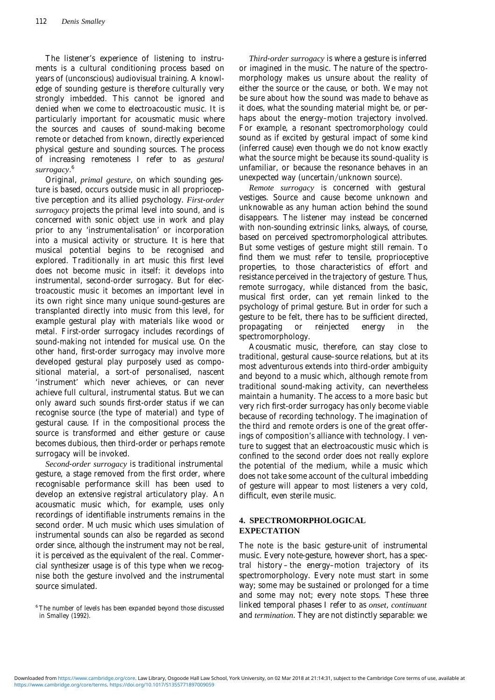ments is a cultural conditioning process based on or imagined in the music. The nature of the spectroyears of (unconscious) audiovisual training. A knowl-<br>
edge of sounding gesture is therefore culturally very either the source or the cause, or both. We may not edge of sounding gesture is therefore culturally very strongly imbedded. This cannot be ignored and be sure about how the sound was made to behave as denied when we come to electroacoustic music. It is it does, what the sounding material might be, or perparticularly important for acousmatic music where haps about the energy–motion trajectory involved.<br>
the sources and causes of sound-making become For example, a resonant spectromorphology could the sources and causes of sound-making become For example, a resonant spectromorphology could<br>remote or detached from known directly experienced sound as if excited by gestural impact of some kind remote or detached from known, directly experienced sound as if excited by gestural impact of some kind<br>physical gesture and sounding sources. The process (inferred cause) even though we do not know exactly physical gesture and sounding sources. The process (inferred cause) even though we do not know exactly<br>of increasing remoteness I refer to as *gestural* what the source might be because its sound-quality is of increasing remoteness I refer to as *gestural surrogacy*.

Original, *primal gesture*, on which sounding ges-<br>is based occurs outside music in all propriocen-<br>*Remote surrogacy* is concerned with gestural *Remote surrogacy* is concerned with gestural ture is based, occurs outside music in all propriocep-<br>ture perception and its allied psychology. *First-order* vestiges. Source and cause become unknown and surrogacy projects surrogacy projects the primal level into sound, and is<br>concerned with sonic object use in work and play<br>prior to any 'instrumentalisation' or incorporation<br>into a musical activity or structure. It is here that<br>musical pote musical potential begins to be recognised and But some vestiges of gesture might still remain. To<br>cyploged Traditionally in art music this first level find them we must refer to tensile, proprioceptive explored. Traditionally in art music this first level<br>find them we must refer to tensile, proprioceptive<br>does not become music in itself: it develops into properties, to those characteristics of effort and<br>instrumental, se

*Second-order surrogacy* is traditional instrumental the potential of the medium, while a music which gesture, a stage removed from the first order, where does not take some account of the cultural imbedding recognisable p develop an extensive registral articulatory play. An difficult, even sterile music. acousmatic music which, for example, uses only recordings of identifiable instruments remains in the<br>
second order. Much music which uses simulation of<br> **EXPECTATION**<br> **EXPECTATION** order since, although the instrument may not be real, The note is the basic gesture-unit of instrumental it is perceived as the equivalent of the real. Commer- music. Every note-gesture, however short, has a speccial synthesizer usage is of this type when we recog- tral history – the energy–motion trajectory of its nise both the gesture involved and the instrumental spectromorphology. Every note must start in some source simulated. way; some may be sustained or prolonged for a time

The listener's experience of listening to instru- *Third*-*order surrogacy* is where a gesture is inferred unfamiliar, or because the resonance behaves in an

of gesture will appear to most listeners a very cold,

and some may not; every note stops. These three <sup>6</sup> The number of levels has been expanded beyond those discussed linked temporal phases I refer to as *onset*, *continuant* 

in Smalley (1992). and *termination*. They are not distinctly separable: we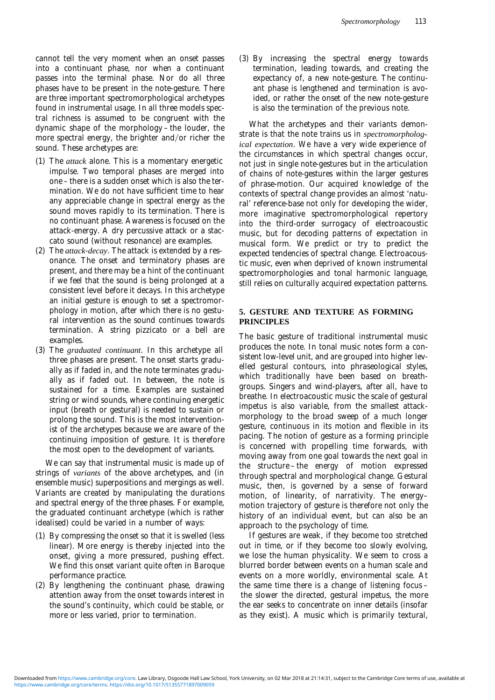cannot tell the very moment when an onset passes (3) By increasing the spectral energy towards into a continuant phase, nor when a continuant termination, leading towards, and creating the passes into the terminal phase. Nor do all three expectancy of, a new note-gesture. The continuphases have to be present in the note-gesture. There ant phase is lengthened and termination is avoare three important spectromorphological archetypes ided, or rather the onset of the new note-gesture found in instrumental usage. In all three models spec- is also the termination of the previous note. tral richness is assumed to be congruent with the<br>dynamic shape of the morphology – the louder, the<br>more spectral energy, the brighter and/or richer the<br>strate is that the note trains us in *spectromorpholog-*<br>ical expecta

- 
- an initial gesture is enough to set a spectromorphology in motion, after which there is no gestu- **5. GESTURE AND TEXTURE AS FORMING** ral intervention as the sound continues towards **PRINCIPLES** termination. A string pizzicato or a bell are
- 

- 
- 

sound. These archetypes are:<br>
(1) The *attack* alone. This is a momentary energetic that its current<br>
in the circumstances in which spectral changes occur.<br>
(1) The *attack* alone. This is a momentary energetic in the int

termination. A string pizzicato or a bell are<br>
The basic gesture of traditional instrumental music<br>
(3) The *graduated continuant*. In this archetype all<br>
the produces the note. In tonal music notes form a con-<br>
three pha

(1) By compressing the onset so that it is swelled (less If gestures are weak, if they become too stretched linear). More energy is thereby injected into the out in time, or if they become too slowly evolving, onset, giving a more pressured, pushing effect. we lose the human physicality. We seem to cross a We find this onset variant quite often in Baroque blurred border between events on a human scale and performance practice. events on a more worldly, environmental scale. At (2) By lengthening the continuant phase, drawing the same time there is a change of listening focus – attention away from the onset towards interest in the slower the directed, gestural impetus, the more the sound's continuity, which could be stable, or the ear seeks to concentrate on inner details (insofar more or less varied, prior to termination. as they exist). A music which is primarily textural,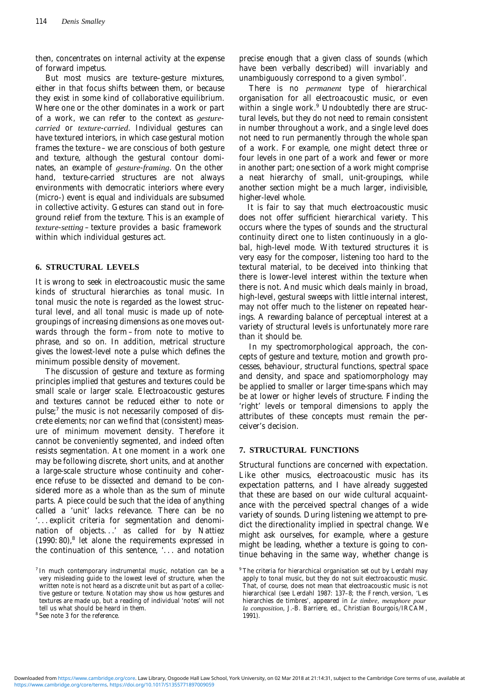then, concentrates on internal activity at the expense precise enough that a given class of sounds (which of forward impetus. have been verbally described) will invariably and

But most musics are texture–gesture mixtures, unambiguously correspond to a given symbol'. either in that focus shifts between them, or because There is no *permanent* type of hierarchical they exist in some kind of collaborative equilibrium. organisation for all electroacoustic music, or even Where one or the other dominates in a work or part within a single work.<sup>9</sup> Undoubtedly there are strucof a work, we can refer to the context as *gesture*- tural levels, but they do not need to remain consistent *carried* or *texture*-*carried*. Individual gestures can in number throughout a work, and a single level does have textured interiors, in which case gestural motion not need to run permanently through the whole span frames the texture – we are conscious of both gesture of a work. For example, one might detect three or and texture, although the gestural contour domi- four levels in one part of a work and fewer or more nates, an example of *gesture-framing*. On the other in another part; one section of a work might comprise hand, texture-carried structures are not always a neat hierarchy of small, unit-groupings, while environments with democratic interiors where every another section might be a much larger, indivisible, (micro-) event is equal and individuals are subsumed higher-level whole. in collective activity. Gestures can stand out in fore- It is fair to say that much electroacoustic music ground relief from the texture. This is an example of does not offer sufficient hierarchical variety. This *texture*-*setting* – texture provides a basic framework occurs where the types of sounds and the structural within which individual gestures act. The continuity direct one to listen continuously in a glo-

It is wrong to seek in electroacoustic music. In<br>
there is lower-level interest within the texture when<br>
then is regarded as the lowest structural conditions and music. In<br>
the intervel interest, the note is regarded as t

cannot be conveniently segmented, and indeed often resists segmentation. At one moment in a work one **7. STRUCTURAL FUNCTIONS** may be following discrete, short units, and at another<br>a large-scale structure whose continuity and coher-<br>ence refuse to be dissected and demand to be con-<br>sidered more as a whole than as the sum of minute<br>parts. A piece

bal, high-level mode. With textured structures it is very easy for the composer, listening too hard to the **6. STRUCTURAL LEVELS** textural material, to be deceived into thinking that

<sup>&</sup>lt;sup>7</sup> In much contemporary instrumental music, notation can be a <sup>9</sup>The criteria for hierarchical organisation set out by Lerdahl may textures are made up, but a reading of individual 'notes' will not tell us what should be heard in them.

<sup>&</sup>lt;sup>8</sup> See note 3 for the reference. 1991).

very misleading guide to the lowest level of structure, when the apply to tonal music, but they do not suit electroacoustic music. That, of course, does not mean that electroacoustic music is not tive gesture or texture. Notation may show us how gestures and hierarchical (see Lerdahl 1987: 137–8; the French version, 'Les hierarchies de timbres', appeared in Le timbre, metaphore pour la composition, J.-B. Barriere, ed., Christian Bourgois/IRCAM,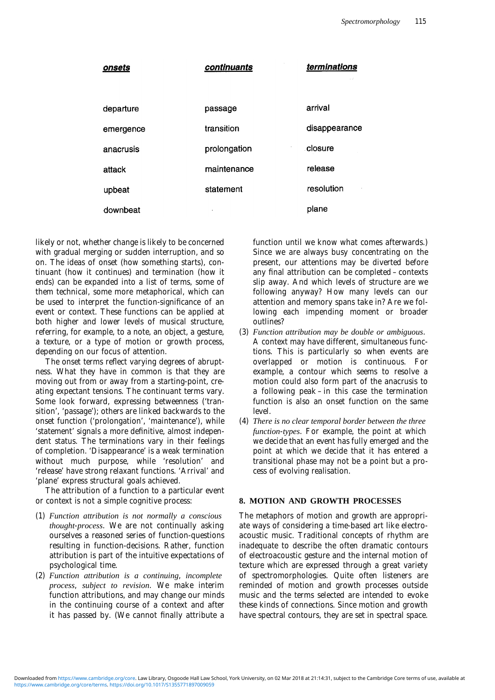onsets

continuants

terminations

| departure | passage      | arrival       |
|-----------|--------------|---------------|
| emergence | transition   | disappearance |
| anacrusis | prolongation | closure       |
| attack    | maintenance  | release       |
| upbeat    | statement    | resolution    |
| downbeat  | ٠            | plane         |
|           |              |               |

likely or not, whether change is likely to be concerned function until we know what comes afterwards.) with gradual merging or sudden interruption, and so Since we are always busy concentrating on the on. The ideas of onset (how something starts), con-<br>
gressent, our attentions may be diverted before tinuant (how it continues) and termination (how it any final attribution can be completed – contexts ends) can be expanded into a list of terms, some of slip away. And which levels of structure are we them technical, some more metaphorical, which can following anyway? How many levels can our be used to interpret the function-significance of an attention and memory spans take in? Are we folbe used to interpret the function-significance of an event or context. These functions can be applied at lowing each impending moment or broader both higher and lower levels of musical structure, outlines? referring, for example, to a note, an object, a gesture, (3) *Function attribution may be double or ambiguous*. a texture, or a type of motion or growth process, A context may have different, simultaneous func-

The onset terms reflect varying degrees of abruptness. What they have in common is that they are example, a contour which seems to resolve a moving out from or away from a starting-point, cre- motion could also form part of the anacrusis to ating expectant tensions. The continuant terms vary. a following peak – in this case the termination Some look forward, expressing betweenness ('tran- function is also an onset function on the same sition', 'passage'); others are linked backwards to the level. onset function ('prolongation', 'maintenance'), while (4) *There is no clear temporal border between the three* 'statement' signals a more definitive, almost indepen- *function*-*types*. For example, the point at which dent status. The terminations vary in their feelings we decide that an event has fully emerged and the of completion. 'Disappearance' is a weak termination point at which we decide that it has entered a without much purpose, while 'resolution' and transitional phase may not be a point but a pro-'release' have strong relaxant functions. 'Arrival' and cess of evolving realisation. 'plane' express structural goals achieved.

The attribution of a function to a particular event or context is not a simple cognitive process: **8. MOTION AND GROWTH PROCESSES**

- 
- it has passed by. (We cannot finally attribute a have spectral contours, they are set in spectral space.

present, our attentions may be diverted before

- depending on our focus of attention.<br>This is particularly so when events are<br>The onset terms reflect varying degrees of abrupt-<br>overlapped or motion is continuous. For
	-

(1) *Function attribution is not normally a conscious* The metaphors of motion and growth are appropri*thought*-*process*. We are not continually asking ate ways of considering a time-based art like electroourselves a reasoned series of function-questions acoustic music. Traditional concepts of rhythm are resulting in function-decisions. Rather, function inadequate to describe the often dramatic contours attribution is part of the intuitive expectations of of electroacoustic gesture and the internal motion of psychological time. texture which are expressed through a great variety (2) *Function attribution is a continuing*, *incomplete* of spectromorphologies. Quite often listeners are *process*, *subject to revision*. We make interim reminded of motion and growth processes outside function attributions, and may change our minds music and the terms selected are intended to evoke in the continuing course of a context and after these kinds of connections. Since motion and growth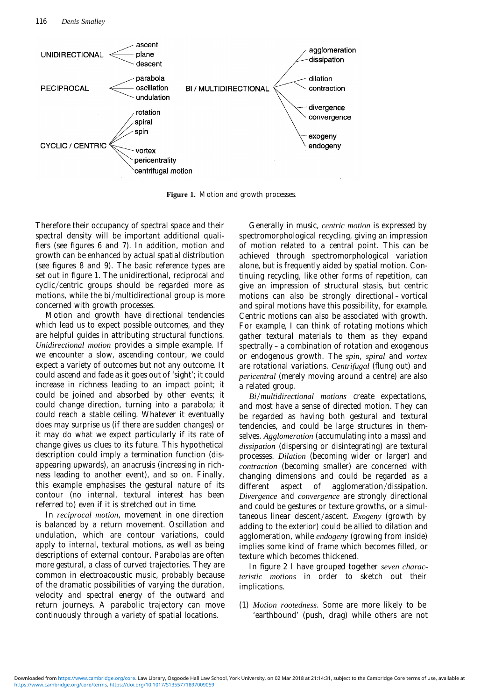

**Figure 1.** Motion and growth processes.

spectral density will be important additional quali- spectromorphological recycling, giving an impression fiers (see figures 6 and 7). In addition, motion and of motion related to a central point. This can be growth can be enhanced by actual spatial distribution achieved through spectromorphological variation (see figures 8 and 9). The basic reference types are alone, but is frequently aided by spatial motion. Conset out in figure 1. The unidirectional, reciprocal and tinuing recycling, like other forms of repetition, can cyclicycentric groups should be regarded more as give an impression of structural stasis, but centric motions, while the bi/multidirectional group is more motions can also be strongly directional – vortical

Motion and growth have directional tendencies Centric motions can also be associated with growth.<br>which lead us to expect possible outcomes, and they For example. I can think of rotating motions which which lead us to expect possible outcomes, and they For example, I can think of rotating motions which are helpful guides in attributing structural functions. gather textural materials to them as they expand *Unidirectional motion* provides a simple example. If spectrally – a combination of rotation and exogenous we encounter a slow, ascending contour, we could or endogenous growth. The *spin*, *spiral* and *vortex* expect a variety of outcomes but not any outcome. It are rotational variations. *Centrifugal* (flung out) and could ascend and fade as it goes out of 'sight'; it could *pericentral* (merely moving around a centre) are also increase in richness leading to an impact point; it a related group.<br>could be joined and absorbed by other events; it  $Bi/multidirect$ could be joined and absorbed by other events; it *Bi*y*multidirectional motions* create expectations, could change direction, turning into a parabola; it and most have a sense of directed motion. They can could reach a stable ceiling. Whatever it eventually be regarded as having both gestural and textural it may do what we expect particularly if its rate of selves. *Agglomeration* (accumulating into a mass) and change gives us clues to its future. This hypothetical *dissination* (dispersing or disintegrating) are textural change gives us clues to its future. This hypothetical *dissipation* (dispersing or disintegrating) are textural description could imply a termination function (dis-<br>appearing upwards), an anacrusis (increasing in rich-<br>contraction (becoming smaller) are concerned with appearing upwards), an anacrusis (increasing in rich-<br>ness leading to another event), and so on. Finally, changing dimensions and could be regarded as a this example emphasises the gestural nature of its<br>contour (no internal, textural interest has been *Divergence* and *convergence* are strongly directional contour (no internal, textural interest has been *Divergence* and *convergence* are strongly directional

In *reciprocal motion*, movement in one direction taneous linear descent/ascent. *Exogeny* (growth by is balanced by a return movement. Oscillation and adding to the exterior) could be allied to dilation and is balanced by a return movement. Oscillation and adding to the exterior) could be allied to dilation and undulation, which are contour variations, could agglomeration while *endogeny* (growing from inside) apply to internal, textural motions, as well as being implies some kind of frame which becomes filled, or descriptions of external contour. Parabolas are often texture which becomes thickened.<br>more gestural, a class of curved trajectories. They are The figure 2.1 have grouned tog more gestural, a class of curved trajectories. They are The The age and a grouped together *seven charac*-<br>
common in electroacoustic music, probably because *teristic motions* in order to sketch out their of the dramatic possibilities of varying the duration, implications. velocity and spectral energy of the outward and return journeys. A parabolic trajectory can move (1) *Motion rootedness*. Some are more likely to be

Therefore their occupancy of spectral space and their Generally in music, *centric motion* is expressed by concerned with growth processes. and spiral motions have this possibility, for example.<br>Motion and growth have directional tendencies Centric motions can also be associated with growth. gather textural materials to them as they expand pericentral (merely moving around a centre) are also

tendencies, and could be large structures in themchanging dimensions and could be regarded as a erred to) even if it is stretched out in time.<br>In *reciprocal motion*, movement in one direction taneous linear descent/ascent, *Exogeny* (growth by agglomeration, while *endogeny* (growing from inside)

teristic motions in order to sketch out their

continuously through a variety of spatial locations. 'earthbound' (push, drag) while others are not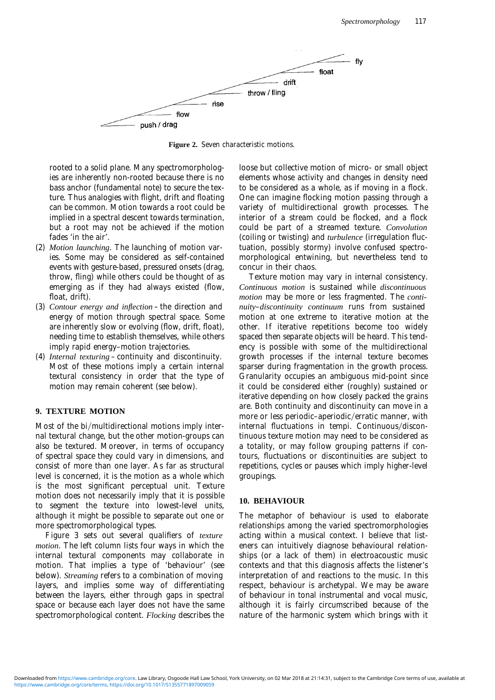

**Figure 2.** Seven characteristic motions.

- events with gesture-based, pressured onsets (drag, concur in their chaos. throw, fling) while others could be thought of as Texture motion may vary in internal consistency.
- 
- 

nal textural change, but the other motion-groups can tinuous texture motion may need to be considered as also be textured. Moreover, in terms of occupancy a totality, or may follow grouping patterns if conof spectral space they could vary in dimensions, and tours, fluctuations or discontinuities are subject to consist of more than one layer. As far as structural repetitions, cycles or pauses which imply higher-level level is concerned, it is the motion as a whole which groupings. is the most significant perceptual unit. Texture motion does not necessarily imply that it is possible **10. BEHAVIOUR** to segment the texture into lowest-level units,

*motion*. The left column lists four ways in which the eners can intuitively diagnose behavioural relationlayers, and implies some way of differentiating respect, behaviour is archetypal. We may be aware space or because each layer does not have the same although it is fairly circumscribed because of the spectromorphological content. *Flocking* describes the nature of the harmonic system which brings with it

rooted to a solid plane. Many spectromorpholog- loose but collective motion of micro- or small object ies are inherently non-rooted because there is no elements whose activity and changes in density need bass anchor (fundamental note) to secure the tex- to be considered as a whole, as if moving in a flock. ture. Thus analogies with flight, drift and floating One can imagine flocking motion passing through a can be common. Motion towards a root could be variety of multidirectional growth processes. The implied in a spectral descent towards termination, interior of a stream could be flocked, and a flock but a root may not be achieved if the motion could be part of a streamed texture. *Convolution* fades 'in the air'. (coiling or twisting) and *turbulence* (irregulation fluc- (2) *Motion launching*. The launching of motion var- tuation, possibly stormy) involve confused spectroies. Some may be considered as self-contained morphological entwining, but nevertheless tend to

emerging as if they had always existed (flow, *Continuous motion* is sustained while *discontinuous* float, drift). *motion* may be more or less fragmented. The *conti-* (3) *Contour energy and inflection* – the direction and *nuity*–*discontinuity continuum* runs from sustained energy of motion through spectral space. Some motion at one extreme to iterative motion at the are inherently slow or evolving (flow, drift, float), other. If iterative repetitions become too widely needing time to establish themselves, while others spaced then separate objects will be heard. This tendimply rapid energy–motion trajectories. ency is possible with some of the multidirectional (4) *Internal texturing* – continuity and discontinuity. growth processes if the internal texture becomes growth processes if the internal texture becomes Most of these motions imply a certain internal sparser during fragmentation in the growth process. textural consistency in order that the type of Granularity occupies an ambiguous mid-point since motion may remain coherent (see below). it could be considered either (roughly) sustained or iterative depending on how closely packed the grains **9. TEXTURE MOTION** are. Both continuity and discontinuity can move in a more or less periodic–aperiodic/erratic manner, with Most of the bi/multidirectional motions imply inter-<br>internal fluctuations in tempi. Continuous/discon-

although it might be possible to separate out one or The metaphor of behaviour is used to elaborate more spectromorphological types. relationships among the varied spectromorphologies Figure 3 sets out several qualifiers of *texture* acting within a musical context. I believe that listinternal textural components may collaborate in ships (or a lack of them) in electroacoustic music motion. That implies a type of 'behaviour' (see contexts and that this diagnosis affects the listener's below). *Streaming* refers to a combination of moving interpretation of and reactions to the music. In this between the layers, either through gaps in spectral of behaviour in tonal instrumental and vocal music,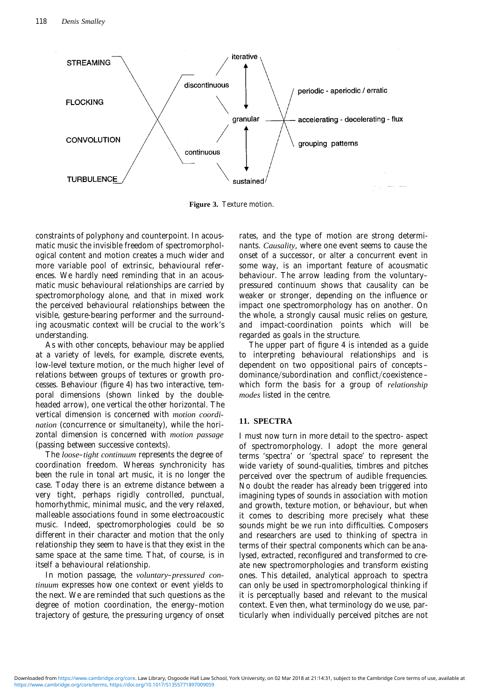

**Figure 3.** Texture motion.

constraints of polyphony and counterpoint. In acous- rates, and the type of motion are strong determimatic music the invisible freedom of spectromorphol- nants. *Causality*, where one event seems to cause the ogical content and motion creates a much wider and onset of a successor, or alter a concurrent event in more variable pool of extrinsic, behavioural refer- some way, is an important feature of acousmatic ences. We hardly need reminding that in an acous-<br>behaviour. The arrow leading from the voluntarymatic music behavioural relationships are carried by pressured continuum shows that causality can be spectromorphology alone, and that in mixed work weaker or stronger, depending on the influence or the perceived behavioural relationships between the impact one spectromorphology has on another. On visible, gesture-bearing performer and the surround- the whole, a strongly causal music relies on gesture, ing acousmatic context will be crucial to the work's and impact-coordination points which will be understanding. The structure is a metal of the structure in the structure.

at a variety of levels, for example, discrete events, to interpreting behavioural relationships and is low-level texture motion, or the much higher level of dependent on two oppositional pairs of concepts – relations between groups of textures or growth pro-<br>dominance/subordination and conflict/coexistence – cesses. Behaviour (figure 4) has two interactive, tem- which form the basis for a group of *relationship* poral dimensions (shown linked by the double- *modes* listed in the centre. headed arrow), one vertical the other horizontal. The vertical dimension is concerned with *motion coordination* (concurrence or simultaneity), while the hori-<br>11. **SPECTRA** zontal dimension is concerned with *motion passage* I must now turn in more detail to the spectro- aspect<br>(passing between successive contexts).

The *loose–tight continuum* represents the degree of terms 'spectra' or 'spectral space' to represent the coordination freedom. Whereas synchronicity has wide variety of sound-qualities timbres and pitches coordination freedom. Whereas synchronicity has wide variety of sound-qualities, timbres and pitches been the rule in tonal art music, it is no longer the speceived over the spectrum of audible frequencies.<br>Case. Today there is an extreme distance between a so No doubt the reader has already been triggered into case. Today there is an extreme distance between a No doubt the reader has already been triggered into<br>very tight, perhaps rigidly controlled, punctual, imagining types of sounds in association with motion very tight, perhaps rigidly controlled, punctual, imagining types of sounds in association with motion homorhythmic, minimal music, and the very relaxed, and growth, texture motion, or behaviour, but when<br>malleable associations found in some electroacoustic and the comes to describing more, precisely what these music. Indeed, spectromorphologies could be so sounds might be we run into difficulties. Composers different in their character and motion that the only and researchers are used to thinking of spectra in relationship they seem to have is that they exist in the terms of their spectral components which can be anasame space at the same time. That, of course, is in lysed, extracted, reconfigured and transformed to creitself a behavioural relationship. ate new spectromorphologies and transform existing

*tinuum* expresses how one context or event yields to can only be used in spectromorphological thinking if the next. We are reminded that such questions as the it is perceptually based and relevant to the musical degree of motion coordination, the energy–motion context. Even then, what terminology do we use, partrajectory of gesture, the pressuring urgency of onset ticularly when individually perceived pitches are not

As with other concepts, behaviour may be applied The upper part of figure 4 is intended as a guide

Some interpret is assing between successive contexts).  $\sigma$  for spectromorphology. I adopt the more general and the more seneral space is the degree of the more seneral space in represent the degree of the more sent the sp it comes to describing more precisely what these and researchers are used to thinking of spectra in In motion passage, the *voluntary*–*pressured con-* ones. This detailed, analytical approach to spectra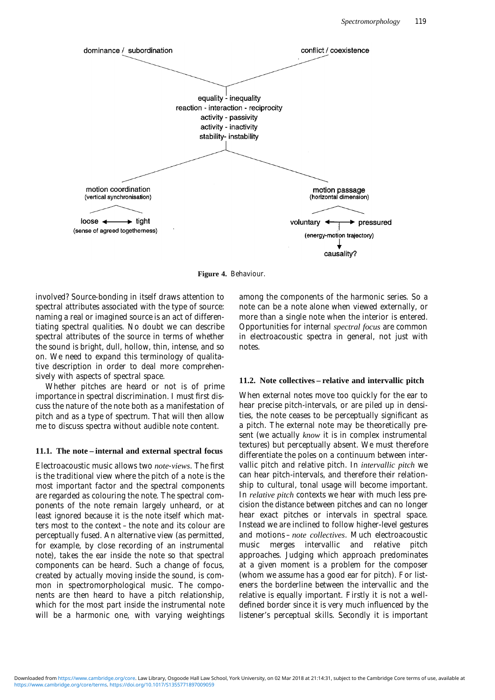

**Figure 4.** Behaviour.

spectral attributes associated with the type of source: note can be a note alone when viewed externally, or naming a real or imagined source is an act of differen- more than a single note when the interior is entered. tiating spectral qualities. No doubt we can describe Opportunities for internal *spectral focus* are common spectral attributes of the source in terms of whether in electroacoustic spectra in general, not just with the sound is bright, dull, hollow, thin, intense, and so notes. on. We need to expand this terminology of qualitative description in order to deal more comprehensively with aspects of spectral space. **11.2. Note collectives – relative and intervallic pitch** Whether pitches are heard or not is of prime

pitch and as a type of spectrum. That will then allow me to discuss spectra without audible note content. a pitch. The external note may be theoretically pre-

is the traditional view where the pitch of a note is the can hear pitch-intervals, and therefore their relation-<br>most important factor and the spectral components ship to cultural, tonal usage will become important. most important factor and the spectral components ship to cultural, tonal usage will become important.<br>are regarded as colouring the note. The spectral com-<br>In *relative pitch* contexts we hear with much less preare regarded as colouring the note. The spectral com- In *relative pitch* contexts we hear with much less preponents of the note remain largely unheard, or at cision the distance between pitches and can no longer least ignored because it is the note itself which matters most to the context – the note and its colour are Instead we are inclined to follow higher-level gestures<br>perceptually fused. An alternative view (as permitted. and motions – *note collectives*. Much electroacoustic perceptually fused. An alternative view (as permitted, for example, by close recording of an instrumental music merges intervallic and relative pitch note), takes the ear inside the note so that spectral approaches. Judging which approach predominates components can be heard. Such a change of focus, at a given moment is a problem for the composer created by actually moving inside the sound, is com- (whom we assume has a good ear for pitch). For listmon in spectromorphological music. The compo- eners the borderline between the intervallic and the nents are then heard to have a pitch relationship, relative is equally important. Firstly it is not a wellwhich for the most part inside the instrumental note defined border since it is very much influenced by the will be a harmonic one, with varying weightings listener's perceptual skills. Secondly it is important

involved? Source-bonding in itself draws attention to among the components of the harmonic series. So a

importance in spectral discrimination. I must first dis- When external notes move too quickly for the ear to cuss the nature of the note both as a manifestation of hear precise pitch-intervals, or are piled up in densi-<br>pitch and as a type of spectrum. That will then allow ties, the note ceases to be perceptually significant as sent (we actually *know* it is in complex instrumental textures) but perceptually absent. We must therefore **11.1. The note – internal and external spectral focus** differentiate the poles on a continuum between inter-Electroacoustic music allows two *note*-*views*. The first vallic pitch and relative pitch. In *intervallic pitch* we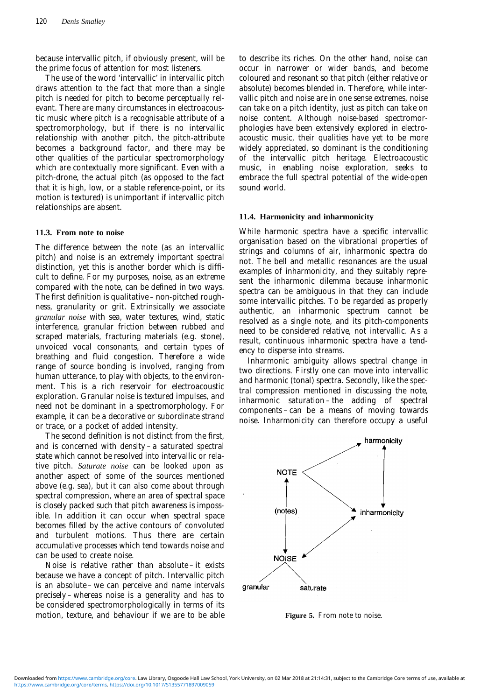because intervallic pitch, if obviously present, will be to describe its riches. On the other hand, noise can the prime focus of attention for most listeners. occur in narrower or wider bands, and become

draws attention to the fact that more than a single absolute) becomes blended in. Therefore, while interpitch is needed for pitch to become perceptually rel- vallic pitch and noise are in one sense extremes, noise evant. There are many circumstances in electroacous- can take on a pitch identity, just as pitch can take on tic music where pitch is a recognisable attribute of a noise content. Although noise-based spectromorspectromorphology, but if there is no intervallic phologies have been extensively explored in electrorelationship with another pitch, the pitch-attribute acoustic music, their qualities have yet to be more becomes a background factor, and there may be widely appreciated, so dominant is the conditioning other qualities of the particular spectromorphology of the intervallic pitch heritage. Electroacoustic which are contextually more significant. Even with a music, in enabling noise exploration, seeks to pitch-drone, the actual pitch (as opposed to the fact embrace the full spectral potential of the wide-open that it is high, low, or a stable reference-point, or its sound world. motion is textured) is unimportant if intervallic pitch relationships are absent.

The difference between the note (as an intervallic organisation based on the vibrational properties of the similar strings and columns of air, inharmonic spectra do distinction, yet this is another broth is difference whi

The second definition is not distinct from the first, and is concerned with density – a saturated spectral state which cannot be resolved into intervallic or relative pitch. *Saturate noise* can be looked upon as another aspect of some of the sources mentioned above (e.g. sea), but it can also come about through spectral compression, where an area of spectral space is closely packed such that pitch awareness is impossible. In addition it can occur when spectral space becomes filled by the active contours of convoluted and turbulent motions. Thus there are certain accumulative processes which tend towards noise and can be used to create noise.

Noise is relative rather than absolute – it exists because we have a concept of pitch. Intervallic pitch is an absolute – we can perceive and name intervals precisely – whereas noise is a generality and has to be considered spectromorphologically in terms of its motion, texture, and behaviour if we are to be able **Figure 5.** From note to noise.

The use of the word 'intervallic' in intervallic pitch coloured and resonant so that pitch (either relative or

### **11.4. Harmonicity and inharmonicity**

**11.3. From note to noise** While harmonic spectra have a specific intervallic

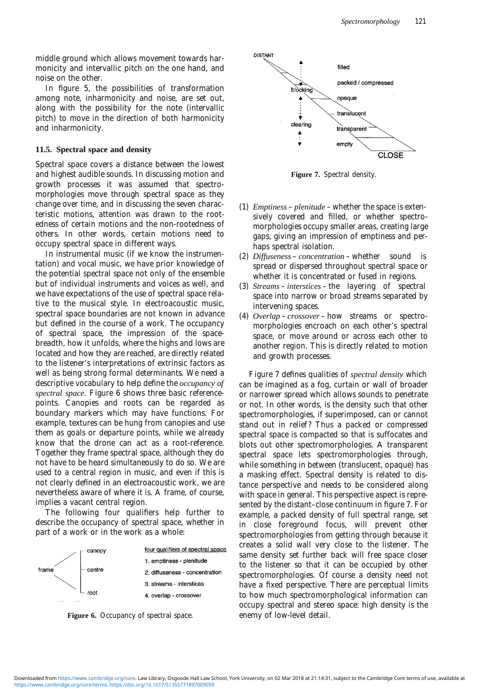middle ground which allows movement towards harmonicity and intervallic pitch on the one hand, and noise on the other.

In figure 5, the possibilities of transformation among note, inharmonicity and noise, are set out, along with the possibility for the note (intervallic pitch) to move in the direction of both harmonicity and inharmonicity.

## **11.5. Spectral space and density**

Spectral space covers a distance between the lowest and highest audible sounds. In discussing motion and **Figure 7.** Spectral density. growth processes it was assumed that spectromorphologies move through spectral space as they % change over time, and in discussing the seven charac-<br>teristic motions, attention was drawn to the root-<br>edness of certain motions and the non-rootedness of<br>others. In other words, certain motions need to<br>occupy spectra

tation) and vocal music, we have prior knowledge of<br>the potential spectral space not only of the ensemble<br>but of individual instruments and voices as well, and<br>we have expectations of the use of spectral space rela-<br>tive t well as being strong formal determinants. We need a Figure 7 defines qualities of *spectral density* which descriptive vocabulary to help define the *occupancy of* can be imagined as a fog. curtain or wall of broader descriptive vocabulary to help define the *occupancy of* can be imagined as a fog, curtain or wall of broader *spectral space*. Figure 6 shows three basic reference- or narrower spread which allows sounds to penetrate points. Canopies and roots can be regarded as or not. In other words, is the density such that other<br>boundary markers which may have functions. For spectromorphologies if superimposed can or cannot boundary markers which may have functions. For spectromorphologies, if superimposed, can or cannot example, textures can be hung from canopies and use stand out in relief? Thus a packed or compressed example, textures can be hung from canopies and use stand out in relief? Thus a packed or compressed them as goals or departure points, while we already spectral space is compacted so that is suffocates and



Figure 6. Occupancy of spectral space. enemy of low-level detail.



- 
- 
- 
- 

them as goals or departure points, while we already<br>
rectral space is compacted so that is suffocates and<br>
thow that the drone can act as a root-reference.<br>
Together they frame spectral space, although they do<br>
not have to creates a solid wall very close to the listener. The same density set further back will free space closer to the listener so that it can be occupied by other spectromorphologies. Of course a density need not have a fixed perspective. There are perceptual limits to how much spectromorphological information can occupy spectral and stereo space: high density is the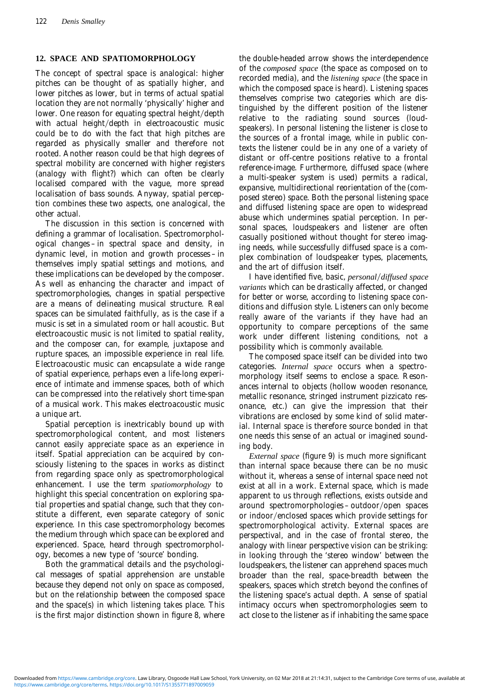these implications can be developed by the composer. I have identified five, basic, *personal/diffused space*<br>
As well as emhancing the character and impact of<br>
are a means of delineating musical structure. Real<br>
are a mea

a unique art.<br>
Spatial perception is inextricably bound up with<br>
spectromorphological content, and most listeners<br>
spectromorphological content, and most listeners<br>
cannot easily appreciate space as an experience in<br>
itsel sciously listening to the spaces in works as distinct than internal space because there can be no music from regarding space only as spectromorphological without it, whereas a sense of internal space need not enhancement. I use the term *spatiomorphology* to exist at all in a work. External space, which is made highlight this special concentration on exploring spa-<br>tial properties and spatial change, such that they con-<br>around spectromorphologies – outdoor/open\_spaces tial properties and spatial change, such that they con-<br>stitute a different, even separate category of sonic or indoor/enclosed spaces which provide settings for stitute a different, even separate category of sonic or indoor/enclosed spaces which provide settings for<br>experience. In this case spectromorphology becomes spectromorphological activity. External spaces are experience. In this case spectromorphology becomes spectromorphological activity. External spaces are the medium through which space can be explored and sperspectival, and in the case of frontal stereo, the the medium through which space can be explored and perspectival, and in the case of frontal stereo, the experienced. Space, heard through spectromorphol- analogy with linear perspective vision can be striking:

cal messages of spatial apprehension are unstable broader than the real, space-breadth between the because they depend not only on space as composed, speakers, spaces which stretch beyond the confines of but on the relationship between the composed space the listening space's actual depth. A sense of spatial and the space(s) in which listening takes place. This intimacy occurs when spectromorphologies seem to is the first major distinction shown in figure 8, where act close to the listener as if inhabiting the same space

**12. SPACE AND SPATIOMORPHOLOGY** the double-headed arrow shows the interdependence The concept of spectral space is analogical: higher<br>
of the *composed space* (the space as composed on to<br>
pitches can be thought of as spatially higher, and<br>
which the composed space is heard). Listening spaces<br>
loorer p

exist at all in a work. External space, which is made analogy with linear perspective vision can be striking: ogy, becomes a new type of 'source' bonding. in looking through the 'stereo window' between the Both the grammatical details and the psychologi-<br>Both the grammatical details and the psychologi-<br>loudspeakers, the listener c loudspeakers, the listener can apprehend spaces much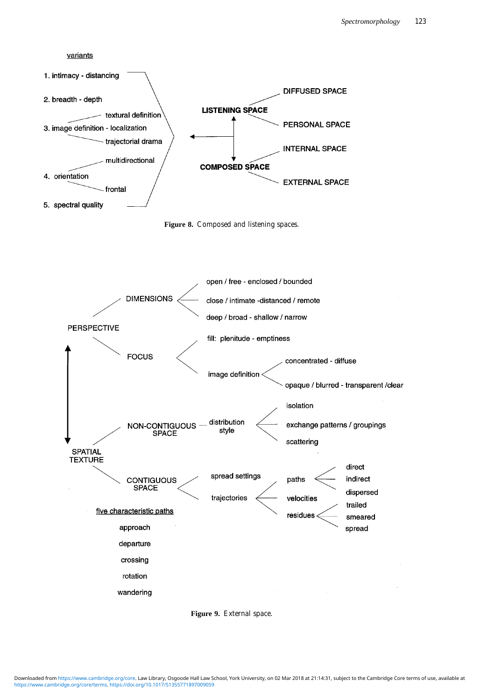







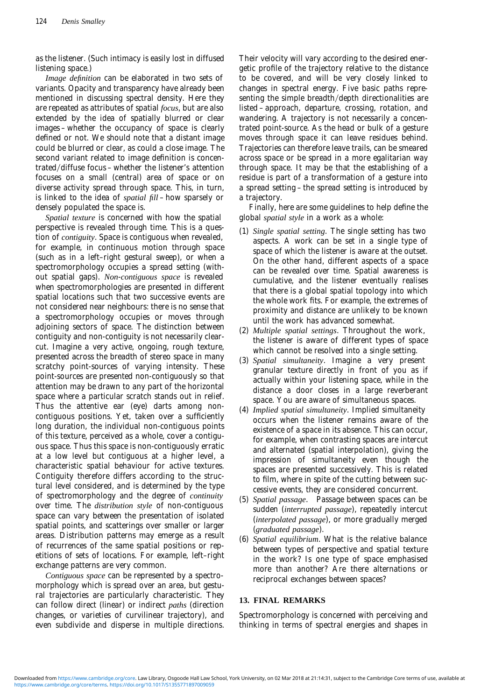as the listener. (Such intimacy is easily lost in diffused Their velocity will vary according to the desired enerlistening space.) getic profile of the trajectory relative to the distance

variants. Opacity and transparency have already been changes in spectral energy. Five basic paths reprementioned in discussing spectral density. Here they senting the simple breadth/depth directionalities are are repeated as attributes of spatial *focus*, but are also listed – approach, departure, crossing, rotation, and extended by the idea of spatially blurred or clear wandering. A trajectory is not necessarily a concenimages – whether the occupancy of space is clearly trated point-source. As the head or bulk of a gesture defined or not. We should note that a distant image moves through space it can leave residues behind. could be blurred or clear, as could a close image. The Trajectories can therefore leave trails, can be smeared second variant related to image definition is concen- across space or be spread in a more egalitarian way tratedydiffuse focus – whether the listener's attention through space. It may be that the establishing of a focuses on a small (central) area of space or on residue is part of a transformation of a gesture into diverse activity spread through space. This, in turn, a spread setting – the spread setting is introduced by is linked to the idea of *spatial fill* – how sparsely or a trajectory. densely populated the space is. Finally, here are some guidelines to help define the

*Spatial texture* is concerned with how the spatial global *spatial style* in a work as a whole: perspective is revealed through time. This is a quest<br>persisy in the mapper persisy in the constraints of the mapper in the mapper in the mapper of the state of the state of the state of the state of the state of the stat

ral trajectories are particularly characteristic. They **13. FINAL REMARKS** can follow direct (linear) or indirect *paths* (direction changes, or varieties of curvilinear trajectory), and Spectromorphology is concerned with perceiving and

*Image definition* can be elaborated in two sets of to be covered, and will be very closely linked to

- 
- 
- 
- 
- 
- exchange patterns are very common.<br> *Contiguous space* can be represented by a spectro-<br>
morphology which is spread over an area, but gestu-<br> **Contiguous** spaces?

even subdivide and disperse in multiple directions. thinking in terms of spectral energies and shapes in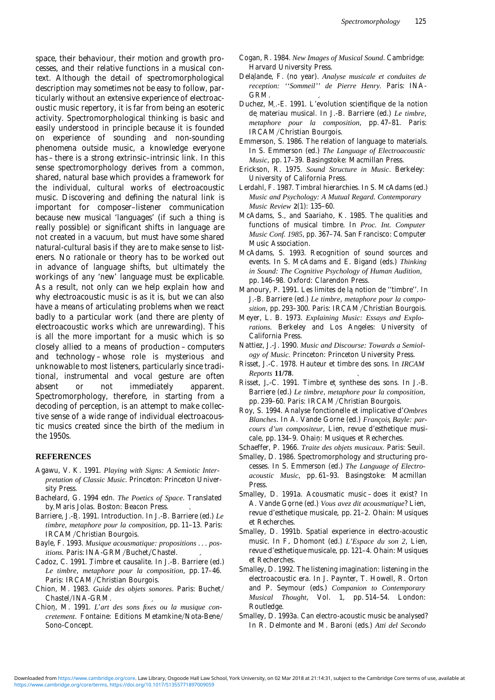space, their behaviour, their motion and growth pro- Cogan, R. 1984. *New Images of Musical Sound*. Cambridge: cesses, and their relative functions in a musical con-<br>
text Although the detail of spectromorphological Delalande, F. (no year). Analyse musicale et conduites de text. Although the detail of spectromorphological description may sometimes not be easy to follow, parricularly without an extensive experience of electroacure GRM.<br>
curved an extensive experience of electroacure Buchez, M.-E. 1991. L'evolution scientifique de la notion quatron oustic music repertory, it is far from being an esoteric<br>activity. Spectromorphological thinking is basic and re (ed.) activity. Spectromorphological thinking is basic and *metaphore pour la composition*, pp. 47–81. Paris:<br>easily understood in principle because it is founded **IDCAM/Christian Bourgois** easily dimersion in principle because it is founded<br>on experience of sounding and non-sounding<br>phenomena outside music, a knowledge everyone In S. Emmerson (ed.) The Language of Electroacoustic has – there is a strong extrinsic–intrinsic link. In this *Music*, pp. 17–39. Basingstoke: Macmillan Press. shared, natural base which provides a framework for University of California Press. the individual, cultural works of electroacoustic Lerdahl, F. 1987. Timbral hierarchies. In S. McAdams (ed.) music. Discovering and defining the natural link is *Music and Psychology: A Mutual Regard. Contemporary*<br>
important for composer-listener communication *Music Review* 2(1): 135–60. *Music Review* **2**(1): 135–60.<br>**because new musical 'languages' (if such a thing is McAdams, S., and Saariaho, K. 1985. The qualities and** because new musical 'languages' (if such a thing is McAdams, S., and Saariaho, K. 1985. The qualities and<br>really possible) or significant shifts in language are functions of musical timbre. In *Proc. Int. Computer* really possible) or significant shifts in language are<br>
mot created in a vacuum, but must have some shared<br>
matural-cultural basis if they are to make sense to list-<br>
matural-cultural basis if they are to make sense to li have a means of articulating problems when we react *sition*, pp. 293-300. Paris: IRCAM/Christian Bourgois. badly to a particular work (and there are plenty of Meyer, L. B. 1973. *Explaining Music: Essays and Explo*electroacoustic works which are unrewarding). This *rations.* Berkeley and Los Angeles: University of is all the more important for a music which is so California Press. closely allied to a means of production – computers Nattiez, J.-J. 1990. *Music and Discourse: Towards a Semiol*and technology – whose role is mysterious and ogy of Music. Princeton: Princeton University Press.<br>unknowable to most listeners particularly since tradi Risset, J.-C. 1978. Hauteur et timbre des sons. In *IRCAM* unknowable to most listeners, particularly since tradi-<br>Hauteur et timbre des sons. In *Reports* 11/78. tional, instrumental and vocal gesture are often Risset, J.-C. 1991. Timbre et synthese des sons. In J.-B. absent or not immediately apparent. se des sons. In J.-B.<br>absent or not immediately apparent. Barriere (ed.) *Le timbre*, *metaphore pour la composition*,<br>Spectromorphology, therefore, in starting from a Spectromorphology, therefore, in starting from a<br>decoding of perception, is an attempt to make collec-<br>tive sense of a wide range of individual electroacous-<br>tic musics created since the birth of the medium in<br>the 1950s.<br>

- 
- 
- timbre, metaphore pour la composition, pp. 11-13. Paris: et Recherches.
- Bayle, F. 1993. *Musique acousmatique: propositions* . . . pos-
- Cadoz, C. 1991. Timbre et causalite. In J.-B. Barriere (ed.) et Recherches. *Le timbre, metaphore pour la composition*, pp. 17–46. Smalley, D. 1992. The listening imagination: listening in the
- Chion, M. 1983. *Guide des objets sonores*. Paris: Buchet/
- Chion, M. 1991. *L'art des sons fixes ou la musique con* **Coutledge.** *creement.* Fontaine: Editions Metamkine/Nota-Bene/ Smalley, D. 1993a. Can electro-acoustic music be analysed?
- 
- reception: "Sommeil" de Pierre Henry. Paris: INA-
- de materiau musical. In J.-B. Barriere (ed.) Le timbre,
- 
- Erickson, R. 1975. *Sound Structure in Music*. Berkeley:
- 
- 
- 
- re (ed.) *Le timbre*, *me´ taphore pour la compo-*
- 
- 
- 
- 
- cours d'un compositeur, Lien, revue d'esthetique musicale, pp. 134–9. Ohain: Musiques et Recherches.
- Schaeffer, P. 1966. *Traite´ des objets musicaux*. Paris: Seuil.
- **REFERENCES** Smalley, D. 1986. Spectromorphology and structuring pro-Agawu, V. K. 1991. Playing with Signs: A Semiotic Inter-<br>
pretation of Classic Music. Princeton: Princeton Univer-<br>
sty Press.<br>
Bachelard, G. 1994 edn. *The Poetics of Space*. Translated Bachelard, G. 1994 edn. *The Poetic*
- Bachelard, G. 1994 edn. *The Poetics of Space*. Translated<br>by Maris Jolas. Boston: Beacon Press. **Reserve and Lien**, here is the *Nous avez dit acousmatique*? Lien,<br>Barriare L.B. 1991 Introduction In L.B. Barriare (ed.) *L*  $\frac{1}{2}$  revue d'esthetique musicale, pp. 21–2. Ohain: Musiques Barriere, J.-B. 1991. Introduction. In J.-B. Barriere (ed.) *Le* 
	- *th taphore pour la composition*, pp. 11–13. The composition Smalley, D. 1991b. Spatial experience in electro-acoustic IRCAM/Christian Bourgois. Smalley, D. 1991b. Spatial experience in electro-acoustic IRCAMyChristian B revue d'esthe´ tique musicale, pp. 121–4. Ohain: Musiques *itions.* Paris: INA-GRMyBuchetyChastel.
	- Paris: IRCAM/Christian Bourgois. electroacoustic era. In J. Paynter, T. Howell, R. Orton<br>
	ion M. 1983. Guide des objets sonores. Paris: Buchet/ and P. Seymour (eds.) Companion to Contemporary ChastelyINA-GRM. *Musical Thought*, Vol. 1, pp. 514–54. London:
	- Sono-Concept. In R. Delmonte and M. Baroni (eds.) *Atti del Secondo*